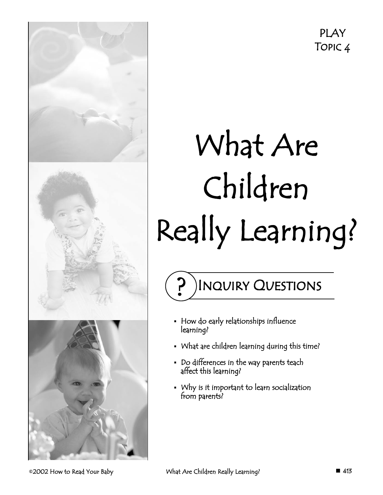# What Are Children Really Learning?

Inquiry Questions

- How do early relationships influence learning?
- What are children learning during this time?
- Do differences in the way parents teach affect this learning?
- Why is it important to learn socialization from parents?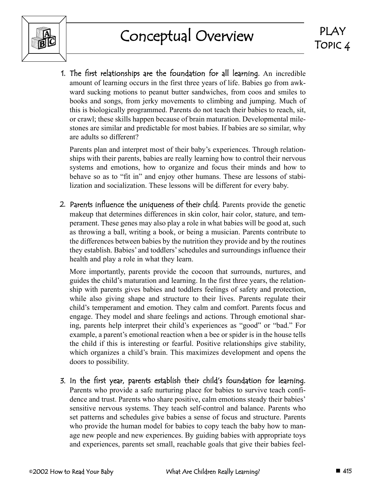

1. The first relationships are the foundation for all learning. An incredible amount of learning occurs in the first three years of life. Babies go from awkward sucking motions to peanut butter sandwiches, from coos and smiles to books and songs, from jerky movements to climbing and jumping. Much of this is biologically programmed. Parents do not teach their babies to reach, sit, or crawl; these skills happen because of brain maturation. Developmental milestones are similar and predictable for most babies. If babies are so similar, why are adults so different?

Parents plan and interpret most of their baby's experiences. Through relationships with their parents, babies are really learning how to control their nervous systems and emotions, how to organize and focus their minds and how to behave so as to "fit in" and enjoy other humans. These are lessons of stabilization and socialization. These lessons will be different for every baby.

2. Parents influence the uniqueness of their child. Parents provide the genetic makeup that determines differences in skin color, hair color, stature, and temperament. These genes may also play a role in what babies will be good at, such as throwing a ball, writing a book, or being a musician. Parents contribute to the differences between babies by the nutrition they provide and by the routines they establish. Babies' and toddlers' schedules and surroundings influence their health and play a role in what they learn.

More importantly, parents provide the cocoon that surrounds, nurtures, and guides the child's maturation and learning. In the first three years, the relationship with parents gives babies and toddlers feelings of safety and protection, while also giving shape and structure to their lives. Parents regulate their child's temperament and emotion. They calm and comfort. Parents focus and engage. They model and share feelings and actions. Through emotional sharing, parents help interpret their child's experiences as "good" or "bad." For example, a parent's emotional reaction when a bee or spider is in the house tells the child if this is interesting or fearful. Positive relationships give stability, which organizes a child's brain. This maximizes development and opens the doors to possibility.

3. In the first year, parents establish their child's foundation for learning. Parents who provide a safe nurturing place for babies to survive teach confidence and trust. Parents who share positive, calm emotions steady their babies' sensitive nervous systems. They teach self-control and balance. Parents who set patterns and schedules give babies a sense of focus and structure. Parents who provide the human model for babies to copy teach the baby how to manage new people and new experiences. By guiding babies with appropriate toys and experiences, parents set small, reachable goals that give their babies feel-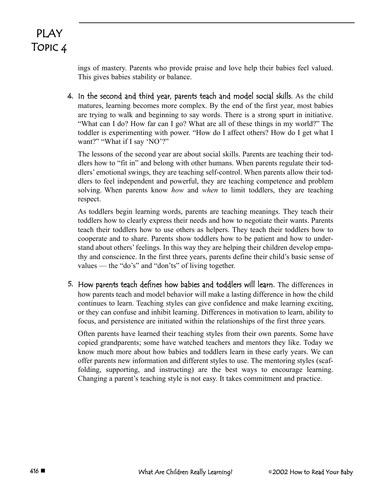> ings of mastery. Parents who provide praise and love help their babies feel valued. This gives babies stability or balance.

4. In the second and third year, parents teach and model social skills. As the child matures, learning becomes more complex. By the end of the first year, most babies are trying to walk and beginning to say words. There is a strong spurt in initiative. "What can I do? How far can I go? What are all of these things in my world?" The toddler is experimenting with power. "How do I affect others? How do I get what I want?" "What if I say 'NO'?"

The lessons of the second year are about social skills. Parents are teaching their toddlers how to "fit in" and belong with other humans. When parents regulate their toddlers' emotional swings, they are teaching self-control. When parents allow their toddlers to feel independent and powerful, they are teaching competence and problem solving. When parents know *how* and *when* to limit toddlers, they are teaching respect.

As toddlers begin learning words, parents are teaching meanings. They teach their toddlers how to clearly express their needs and how to negotiate their wants. Parents teach their toddlers how to use others as helpers. They teach their toddlers how to cooperate and to share. Parents show toddlers how to be patient and how to understand about others' feelings. In this way they are helping their children develop empathy and conscience. In the first three years, parents define their child's basic sense of values — the "do's" and "don'ts" of living together.

5. How parents teach defines how babies and toddlers will learn. The differences in how parents teach and model behavior will make a lasting difference in how the child continues to learn. Teaching styles can give confidence and make learning exciting, or they can confuse and inhibit learning. Differences in motivation to learn, ability to focus, and persistence are initiated within the relationships of the first three years.

Often parents have learned their teaching styles from their own parents. Some have copied grandparents; some have watched teachers and mentors they like. Today we know much more about how babies and toddlers learn in these early years. We can offer parents new information and different styles to use. The mentoring styles (scaffolding, supporting, and instructing) are the best ways to encourage learning. Changing a parent's teaching style is not easy. It takes commitment and practice.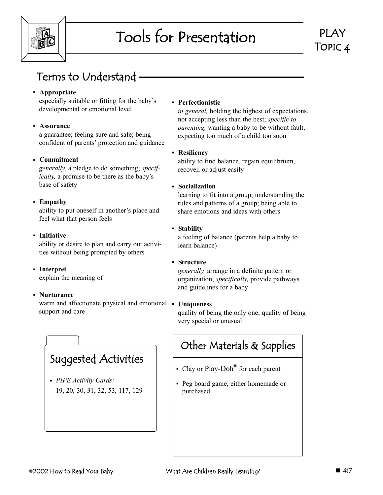

# Tools for Presentation

### Terms to Understand

#### **Appropriate**

especially suitable or fitting for the baby's developmental or emotional level

#### **Assurance**

a guarantee; feeling sure and safe; being confident of parents' protection and guidance

#### **Commitment**

*generally,* a pledge to do something; *specifically,* a promise to be there as the baby's base of safety

#### **Empathy**

ability to put oneself in another's place and feel what that person feels

#### **Initiative**

ability or desire to plan and carry out activities without being prompted by others

#### **Interpret**

explain the meaning of

#### **Nurturance**

warm and affectionate physical and emotional • Uniqueness support and care

### Suggested Activities

 *PIPE Activity Cards:* 19, 20, 30, 31, 32, 53, 117, 129

#### **Perfectionistic**

*in general,* holding the highest of expectations, not accepting less than the best; *specific to parenting,* wanting a baby to be without fault, expecting too much of a child too soon

#### **Resiliency**

ability to find balance, regain equilibrium, recover, or adjust easily

#### **Socialization**

learning to fit into a group; understanding the rules and patterns of a group; being able to share emotions and ideas with others

#### **Stability**

a feeling of balance (parents help a baby to learn balance)

#### **Structure**

*generally,* arrange in a definite pattern or organization; *specifically,* provide pathways and guidelines for a baby

quality of being the only one; quality of being very special or unusual

### Other Materials & Supplies

- Clay or Play-Doh<sup>®</sup> for each parent
- Peg board game, either homemade or purchased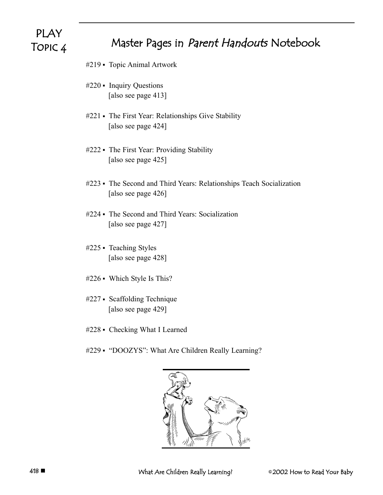### Master Pages in Parent Handouts Notebook

- #219 Topic Animal Artwork
- #220 Inquiry Questions [also see page 413]
- #221 The First Year: Relationships Give Stability [also see page 424]
- #222 The First Year: Providing Stability [also see page 425]
- #223 The Second and Third Years: Relationships Teach Socialization [also see page 426]
- #224 The Second and Third Years: Socialization [also see page 427]
- #225 Teaching Styles [also see page 428]
- #226 Which Style Is This?
- #227 Scaffolding Technique [also see page 429]
- #228 Checking What I Learned
- #229 "DOOZYS": What Are Children Really Learning?

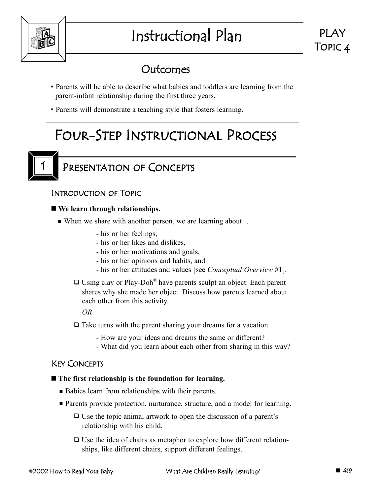

# Instructional Plan



### Outcomes

- Parents will be able to describe what babies and toddlers are learning from the parent-infant relationship during the first three years.
- Parents will demonstrate a teaching style that fosters learning.

## Four-Step Instructional Process



### PRESENTATION OF CONCEPTS

#### Introduction of Topic

#### **We learn through relationships.**

- When we share with another person, we are learning about ...
	- his or her feelings,
	- his or her likes and dislikes,
	- his or her motivations and goals,
	- his or her opinions and habits, and
	- his or her attitudes and values [see *Conceptual Overview* #1].
	- $\Box$  Using clay or Play-Doh<sup>®</sup> have parents sculpt an object. Each parent shares why she made her object. Discuss how parents learned about each other from this activity.

*OR*

- □ Take turns with the parent sharing your dreams for a vacation.
	- How are your ideas and dreams the same or different?
	- What did you learn about each other from sharing in this way?

#### Key Concepts

#### **The first relationship is the foundation for learning.**

- ---Babies learn from relationships with their parents.
- **Parents provide protection, nurturance, structure, and a model for learning.** 
	- □ Use the topic animal artwork to open the discussion of a parent's relationship with his child.
	- □ Use the idea of chairs as metaphor to explore how different relationships, like different chairs, support different feelings.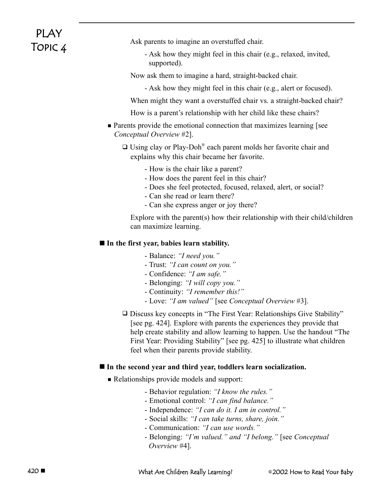Ask parents to imagine an overstuffed chair.

- Ask how they might feel in this chair (e.g., relaxed, invited, supported).
- Now ask them to imagine a hard, straight-backed chair.
	- Ask how they might feel in this chair (e.g., alert or focused).

When might they want a overstuffed chair vs. a straight-backed chair?

How is a parent's relationship with her child like these chairs?

• Parents provide the emotional connection that maximizes learning [see *Conceptual Overview* #2].

 $\Box$  Using clay or Play-Doh<sup>®</sup> each parent molds her favorite chair and explains why this chair became her favorite.

- How is the chair like a parent?
- How does the parent feel in this chair?
- Does she feel protected, focused, relaxed, alert, or social?
- Can she read or learn there?
- Can she express anger or joy there?

Explore with the parent(s) how their relationship with their child/children can maximize learning.

#### **In the first year, babies learn stability.**

- Balance: *"I need you."*
- Trust: *"I can count on you."*
- Confidence: *"I am safe."*
- Belonging: *"I will copy you."*
- Continuity: *"I remember this!"*
- Love: *"I am valued"* [see *Conceptual Overview* #3].
- Discuss key concepts in "The First Year: Relationships Give Stability" [see pg. 424]. Explore with parents the experiences they provide that help create stability and allow learning to happen. Use the handout "The First Year: Providing Stability" [see pg. 425] to illustrate what children feel when their parents provide stability.

#### **In the second year and third year, toddlers learn socialization.**

- **Relationships provide models and support:** 
	- Behavior regulation: *"I know the rules."*
	- Emotional control: *"I can find balance."*
	- Independence: *"I can do it. I am in control."*
	- Social skills: *"I can take turns, share, join."*
	- Communication: *"I can use words."*
	- Belonging: *"I'm valued." and "I belong."* [see *Conceptual Overview* #4].

420 **■** What Are Children Really Learning?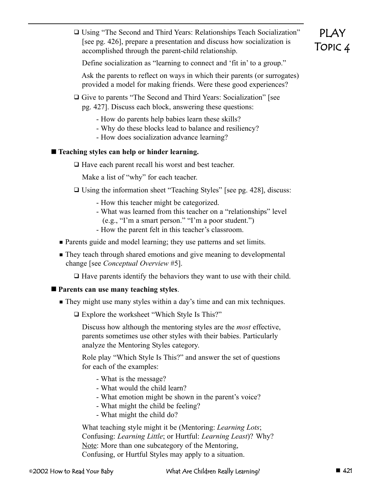□ Using "The Second and Third Years: Relationships Teach Socialization" [see pg. 426], prepare a presentation and discuss how socialization is accomplished through the parent-child relationship.

### PLAY Topic 4

Define socialization as "learning to connect and 'fit in' to a group."

Ask the parents to reflect on ways in which their parents (or surrogates) provided a model for making friends. Were these good experiences?

□ Give to parents "The Second and Third Years: Socialization" [see pg. 427]. Discuss each block, answering these questions:

- How do parents help babies learn these skills?

- Why do these blocks lead to balance and resiliency?

- How does socialization advance learning?

#### **Teaching styles can help or hinder learning.**

□ Have each parent recall his worst and best teacher.

Make a list of "why" for each teacher.

- □ Using the information sheet "Teaching Styles" [see pg. 428], discuss:
	- How this teacher might be categorized.
	- What was learned from this teacher on a "relationships" level (e.g., "I'm a smart person." "I'm a poor student.")
	- How the parent felt in this teacher's classroom.
- **Parents guide and model learning; they use patterns and set limits.**
- **They teach through shared emotions and give meaning to developmental** change [see *Conceptual Overview* #5].

- Have parents identify the behaviors they want to use with their child.

#### **Parents can use many teaching styles**.

**They might use many styles within a day's time and can mix techniques.** 

□ Explore the worksheet "Which Style Is This?"

Discuss how although the mentoring styles are the *most* effective, parents sometimes use other styles with their babies. Particularly analyze the Mentoring Styles category.

Role play "Which Style Is This?" and answer the set of questions for each of the examples:

- What is the message?
- What would the child learn?
- What emotion might be shown in the parent's voice?
- What might the child be feeling?
- What might the child do?

What teaching style might it be (Mentoring: *Learning Lots*; Confusing: *Learning Little*; or Hurtful: *Learning Least*)? Why? Note: More than one subcategory of the Mentoring, Confusing, or Hurtful Styles may apply to a situation.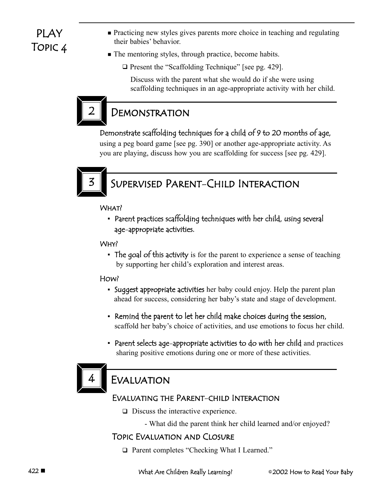- **Practicing new styles gives parents more choice in teaching and regulating** their babies' behavior.
- The mentoring styles, through practice, become habits.
	- □ Present the "Scaffolding Technique" [see pg. 429].

Discuss with the parent what she would do if she were using scaffolding techniques in an age-appropriate activity with her child.



### **DEMONSTRATION**

#### Demonstrate scaffolding techniques for a child of 9 to 20 months of age,

using a peg board game [see pg. 390] or another age-appropriate activity. As you are playing, discuss how you are scaffolding for success [see pg. 429].



### SUPERVISED PARENT-CHILD INTERACTION

What?

 Parent practices scaffolding techniques with her child, using several age-appropriate activities.

#### Why?

• The goal of this activity is for the parent to experience a sense of teaching by supporting her child's exploration and interest areas.

#### How?

- Suggest appropriate activities her baby could enjoy. Help the parent plan ahead for success, considering her baby's state and stage of development.
- Remind the parent to let her child make choices during the session, scaffold her baby's choice of activities, and use emotions to focus her child.
- Parent selects age-appropriate activities to do with her child and practices sharing positive emotions during one or more of these activities.



### **EVALUATION**

#### Evaluating the Parent-child Interaction

- □ Discuss the interactive experience.
	- What did the parent think her child learned and/or enjoyed?

#### Topic Evaluation and Closure

□ Parent completes "Checking What I Learned."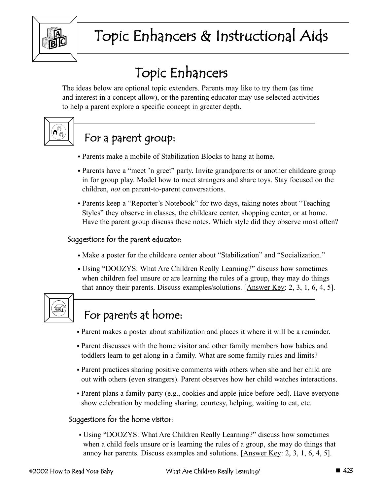

# Topic Enhancers

The ideas below are optional topic extenders. Parents may like to try them (as time and interest in a concept allow), or the parenting educator may use selected activities to help a parent explore a specific concept in greater depth.



### For a parent group:

- Parents make a mobile of Stabilization Blocks to hang at home.
- Parents have a "meet 'n greet" party. Invite grandparents or another childcare group in for group play. Model how to meet strangers and share toys. Stay focused on the children, *not* on parent-to-parent conversations.
- Parents keep a "Reporter's Notebook" for two days, taking notes about "Teaching Styles" they observe in classes, the childcare center, shopping center, or at home. Have the parent group discuss these notes. Which style did they observe most often?

#### Suggestions for the parent educator:

- Make a poster for the childcare center about "Stabilization" and "Socialization."
- Using "DOOZYS: What Are Children Really Learning?" discuss how sometimes when children feel unsure or are learning the rules of a group, they may do things that annoy their parents. Discuss examples/solutions. [Answer Key: 2, 3, 1, 6, 4, 5].



### For parents at home:

- Parent makes a poster about stabilization and places it where it will be a reminder.
- Parent discusses with the home visitor and other family members how babies and toddlers learn to get along in a family. What are some family rules and limits?
- Parent practices sharing positive comments with others when she and her child are out with others (even strangers). Parent observes how her child watches interactions.
- Parent plans a family party (e.g., cookies and apple juice before bed). Have everyone show celebration by modeling sharing, courtesy, helping, waiting to eat, etc.

#### Suggestions for the home visitor:

 Using "DOOZYS: What Are Children Really Learning?" discuss how sometimes when a child feels unsure or is learning the rules of a group, she may do things that annoy her parents. Discuss examples and solutions. [Answer Key: 2, 3, 1, 6, 4, 5].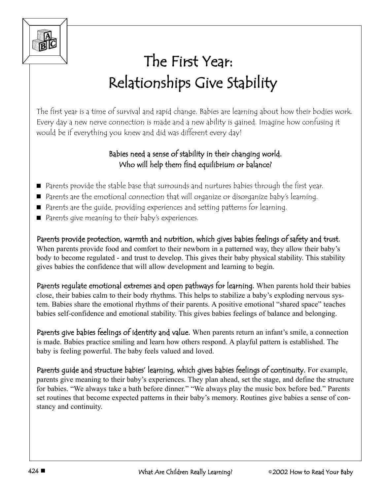

# The First Year: Relationships Give Stability

The first year is a time of survival and rapid change. Babies are learning about how their bodies work. Every day a new nerve connection is made and a new ability is gained. Imagine how confusing it would be if everything you knew and did was different every day!

#### Babies need a sense of stability in their changing world. Who will help them find equilibrium or balance?

- Parents provide the stable base that surrounds and nurtures babies through the first year.
- Parents are the emotional connection that will organize or disorganize baby's learning.
- Parents are the guide, providing experiences and setting patterns for learning.
- Parents give meaning to their baby's experiences.

Parents provide protection, warmth and nutrition, which gives babies feelings of safety and trust. When parents provide food and comfort to their newborn in a patterned way, they allow their baby's body to become regulated - and trust to develop. This gives their baby physical stability. This stability gives babies the confidence that will allow development and learning to begin.

Parents regulate emotional extremes and open pathways for learning. When parents hold their babies close, their babies calm to their body rhythms. This helps to stabilize a baby's exploding nervous system. Babies share the emotional rhythms of their parents. A positive emotional "shared space" teaches babies self-confidence and emotional stability. This gives babies feelings of balance and belonging.

Parents give babies feelings of identity and value. When parents return an infant's smile, a connection is made. Babies practice smiling and learn how others respond. A playful pattern is established. The baby is feeling powerful. The baby feels valued and loved.

Parents guide and structure babies' learning, which gives babies feelings of continuity. For example, parents give meaning to their baby's experiences. They plan ahead, set the stage, and define the structure for babies. "We always take a bath before dinner." "We always play the music box before bed." Parents set routines that become expected patterns in their baby's memory. Routines give babies a sense of constancy and continuity.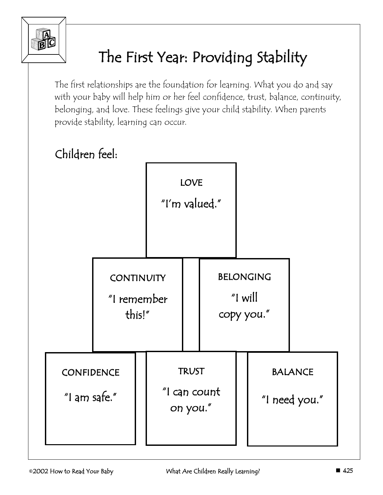

# The First Year: Providing Stability

The first relationships are the foundation for learning. What you do and say with your baby will help him or her feel confidence, trust, balance, continuity, belonging, and love. These feelings give your child stability. When parents provide stability, learning can occur.

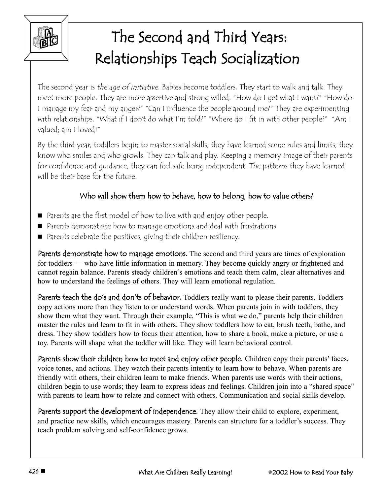

# The Second and Third Years: Relationships Teach Socialization

The second year is the age of initiative. Babies become toddlers. They start to walk and talk. They meet more people. They are more assertive and strong willed. "How do I get what I want?" "How do I manage my fear and my anger?" "Can I influence the people around me?" They are experimenting with relationships. "What if I don't do what I'm told?" "Where do I fit in with other people?" "Am I valued; am I loved?"

By the third year, toddlers begin to master social skills; they have learned some rules and limits; they know who smiles and who growls. They can talk and play. Keeping a memory image of their parents for confidence and guidance, they can feel safe being independent. The patterns they have learned will be their base for the future.

#### Who will show them how to behave, how to belong, how to value others?

- Parents are the first model of how to live with and enjoy other people.
- Parents demonstrate how to manage emotions and deal with frustrations.
- Parents celebrate the positives, giving their children resiliency.

Parents demonstrate how to manage emotions. The second and third years are times of exploration for toddlers — who have little information in memory. They become quickly angry or frightened and cannot regain balance. Parents steady children's emotions and teach them calm, clear alternatives and how to understand the feelings of others. They will learn emotional regulation.

Parents teach the do's and don'ts of behavior. Toddlers really want to please their parents. Toddlers copy actions more than they listen to or understand words. When parents join in with toddlers, they show them what they want. Through their example, "This is what we do," parents help their children master the rules and learn to fit in with others. They show toddlers how to eat, brush teeth, bathe, and dress. They show toddlers how to focus their attention, how to share a book, make a picture, or use a toy. Parents will shape what the toddler will like. They will learn behavioral control.

Parents show their children how to meet and enjoy other people. Children copy their parents' faces, voice tones, and actions. They watch their parents intently to learn how to behave. When parents are friendly with others, their children learn to make friends. When parents use words with their actions, children begin to use words; they learn to express ideas and feelings. Children join into a "shared space" with parents to learn how to relate and connect with others. Communication and social skills develop.

Parents support the development of independence. They allow their child to explore, experiment, and practice new skills, which encourages mastery. Parents can structure for a toddler's success. They teach problem solving and self-confidence grows.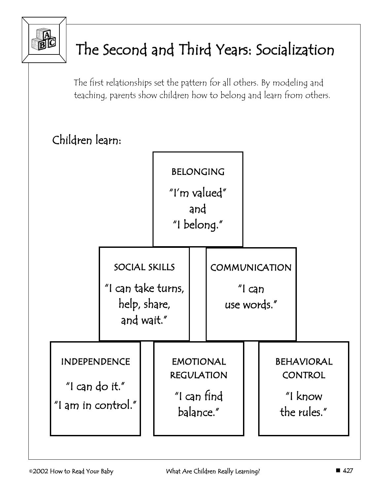

# The Second and Third Years: Socialization

The first relationships set the pattern for all others. By modeling and teaching, parents show children how to belong and learn from others.

### Children learn:

|                                                             |  | BELONGING<br>"I'm valued"<br>and<br>"I belong."                   |                                                                   |  |                                                 |  |                                                               |
|-------------------------------------------------------------|--|-------------------------------------------------------------------|-------------------------------------------------------------------|--|-------------------------------------------------|--|---------------------------------------------------------------|
|                                                             |  | SOCIAL SKILLS<br>"I can take turns,<br>help, share,<br>and wait." |                                                                   |  | COMMUNICATION<br>$\degree$ l can<br>use words." |  |                                                               |
| <b>INDEPENDENCE</b><br>"I can do it."<br>"I am in control." |  |                                                                   | <b>EMOTIONAL</b><br><b>REGULATION</b><br>"I can find<br>balance." |  |                                                 |  | <b>BEHAVIORAL</b><br><b>CONTROL</b><br>"I know<br>the rules." |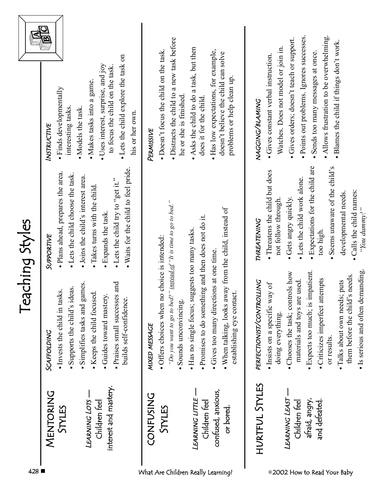|           | - Lets the child explore the task on<br>Uses interest, surprise, and joy<br>to focus the child on the task.<br>· Makes tasks into a game.<br>Finds developmentally<br>interesting tasks.<br>- Models the task.<br>his or her own.<br>INSTRUCTIVE<br>. Waits for the child to feel pride.<br>· Plans ahead, prepares the area.<br>- Lets the child choose the task.<br>-Joins the child's interest area.<br>"Lets the child try to "get it."<br>Takes turns with the child<br>· Expands the task.<br>SUPPORTIVE<br>and | · Distracts the child to a new task before<br>- Doesn't focus the child on the task.<br>he or she is finished.<br>PERMISSIVE<br>"Do you want to go to bed?" instead of "It is time to go to bed." | Asks the child to do a task, but then<br>· Has low expectations, for example,<br>doesn't believe the child can solve<br>problems or help clean up<br>does it for the child<br>. When talking, looks away from the child, instead of | Gives constant verbal instruction.<br>NAGGING/BLANING<br>- Threatens the child but does<br>not follow through.<br>THREATENING | · Points out problems. Ignores successes.<br>Allows frustration to be overwhelming.<br>Gives orders; doesn't teach or support.<br>- Blames the child if things don't work.<br>Watches. Does not model or join in<br>Sends too many messages at once<br>· Expectations for the child are<br>- Seems unaware of the child's<br>- Lets the child work alone.<br>developmental needs.<br>Gets angry quickly.<br>$C_2H_2H_3$ and $C_1$<br>too high.<br>puts<br>used. |
|-----------|-----------------------------------------------------------------------------------------------------------------------------------------------------------------------------------------------------------------------------------------------------------------------------------------------------------------------------------------------------------------------------------------------------------------------------------------------------------------------------------------------------------------------|---------------------------------------------------------------------------------------------------------------------------------------------------------------------------------------------------|-------------------------------------------------------------------------------------------------------------------------------------------------------------------------------------------------------------------------------------|-------------------------------------------------------------------------------------------------------------------------------|-----------------------------------------------------------------------------------------------------------------------------------------------------------------------------------------------------------------------------------------------------------------------------------------------------------------------------------------------------------------------------------------------------------------------------------------------------------------|
|           | Simplifies tasks and games.<br>Supports the child's ideas.<br>Invests the child in tasks.<br>Keeps the child focused.<br>Guides toward mastery.<br>- Praises small successes<br>builds self-confidence.<br>SCAFFOLDING                                                                                                                                                                                                                                                                                                | • Offers choices when no choice is intended:<br>Sounds unconvincing.<br>MIXED MESSAGE                                                                                                             | Promises to do something and then does not do it.<br>Has no single focus; suggests too many tasks.<br>Gives too many directions at one time.<br>establishing eye contact.                                                           | PERFECTIONIST/CONTROLLING<br>Insists on a specific way of<br>doing everything.                                                | Expects too much; is impatient.<br>• Chooses the task; controls how<br>them before the child's needs.<br>Criticizes imperfect attempts<br>· Talks about own needs;<br>materials and toys are<br>or results.                                                                                                                                                                                                                                                     |
| MENTORING | interest and mastery.<br>LEARNING LOTS<br>Children feel<br>STYLES                                                                                                                                                                                                                                                                                                                                                                                                                                                     | CONFUSING<br>STYLES                                                                                                                                                                               | confused, anxious,<br>LEARNING LITTLE<br>Children feel<br>or bored.                                                                                                                                                                 | HURTFUL STYLES                                                                                                                | LEARNING LEAST-<br>afraid, angry,<br>and defeated.<br>Children feel                                                                                                                                                                                                                                                                                                                                                                                             |

428 **■** What Are Children Really Learning?

them before the child's needs. . Is serious and often demanding. Is serious and often demanding.

© 2002 How to Read Your Baby

• Calls the child names:<br>"You dummy!" Calls the child names: *"You dummy!"*